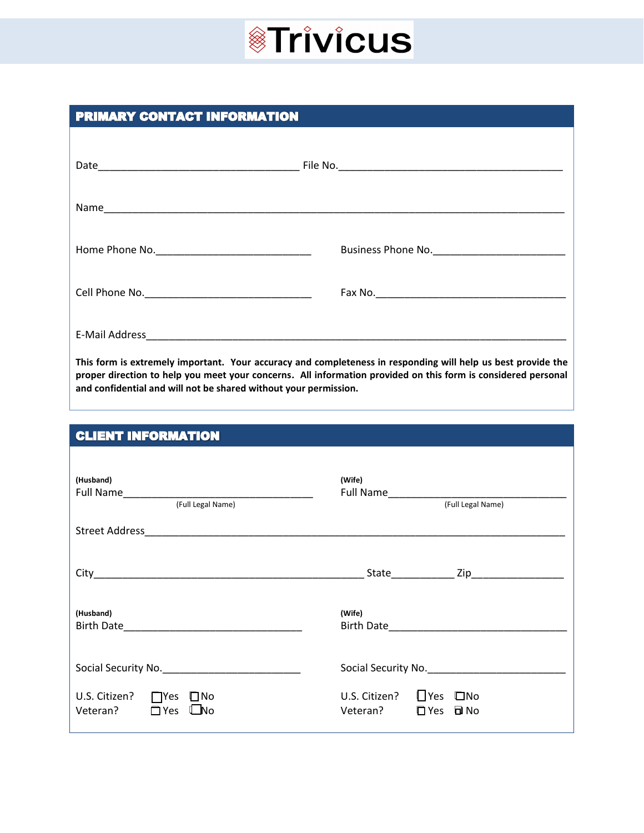#### PRIMARY CONTACT INFORMATION

| This four is outnotedly important. Vous convenient and completences in seconding will help us heat provide the |
|----------------------------------------------------------------------------------------------------------------|

**This form is extremely important. Your accuracy and completeness in responding will help us best provide the proper direction to help you meet your concerns. All information provided on this form is considered personal and confidential and will not be shared without your permission.**

#### **CLIENT INFORMATION**

| (Husband)<br>(Full Legal Name)                                                                                                                                                                                                                    | (Wife)<br>(Full Legal Name)                                                  |
|---------------------------------------------------------------------------------------------------------------------------------------------------------------------------------------------------------------------------------------------------|------------------------------------------------------------------------------|
|                                                                                                                                                                                                                                                   |                                                                              |
|                                                                                                                                                                                                                                                   |                                                                              |
| (Husband)<br>Birth Date <b>Experience and Service Contract Contract Contract Contract Contract Contract Contract Contract Contract Contract Contract Contract Contract Contract Contract Contract Contract Contract Contract Contract Contrac</b> | (Wife)                                                                       |
|                                                                                                                                                                                                                                                   | Social Security No.                                                          |
| U.S. Citizen?<br>$\Box$ Yes<br>$\square$ No<br>$\Box$ Yes<br>Veteran?<br><b>L</b> No                                                                                                                                                              | $\bigcup$ Yes $\Box$ No<br>U.S. Citizen?<br>$\Box$ Yes $\Box$ No<br>Veteran? |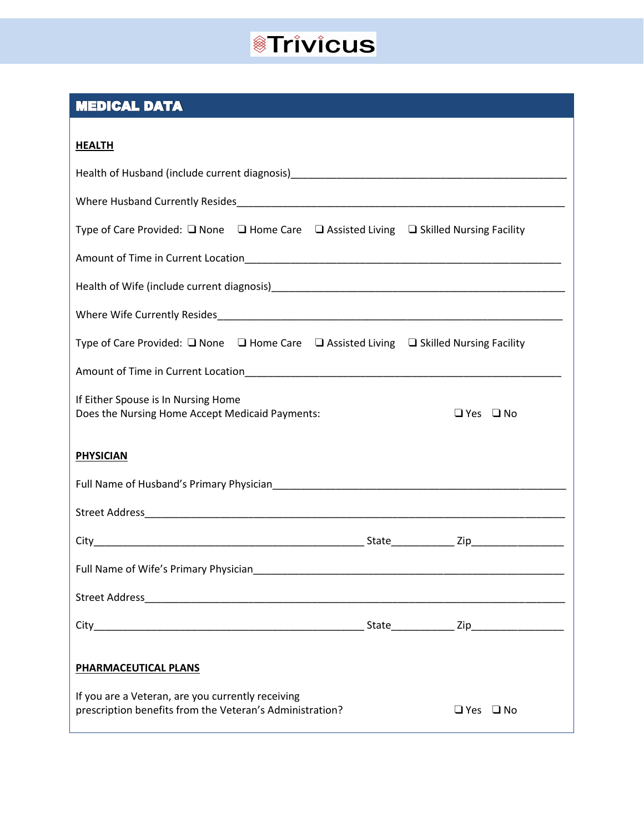#### **MEDICAL DATA**

| .EA' |   |  |
|------|---|--|
|      | ﯩ |  |

| ,,,,,,,,,                                                                                                              |  |  |                      |  |
|------------------------------------------------------------------------------------------------------------------------|--|--|----------------------|--|
|                                                                                                                        |  |  |                      |  |
|                                                                                                                        |  |  |                      |  |
| Type of Care Provided: $\square$ None $\square$ Home Care $\square$ Assisted Living $\square$ Skilled Nursing Facility |  |  |                      |  |
|                                                                                                                        |  |  |                      |  |
|                                                                                                                        |  |  |                      |  |
|                                                                                                                        |  |  |                      |  |
| Type of Care Provided: $\square$ None $\square$ Home Care $\square$ Assisted Living $\square$ Skilled Nursing Facility |  |  |                      |  |
|                                                                                                                        |  |  |                      |  |
| If Either Spouse is In Nursing Home<br>Does the Nursing Home Accept Medicaid Payments:                                 |  |  | $\Box$ Yes $\Box$ No |  |
| <b>PHYSICIAN</b>                                                                                                       |  |  |                      |  |
|                                                                                                                        |  |  |                      |  |
|                                                                                                                        |  |  |                      |  |
|                                                                                                                        |  |  |                      |  |
|                                                                                                                        |  |  |                      |  |
|                                                                                                                        |  |  |                      |  |
| City_                                                                                                                  |  |  | Zip_<br>State        |  |
| <b>PHARMACEUTICAL PLANS</b>                                                                                            |  |  |                      |  |
|                                                                                                                        |  |  |                      |  |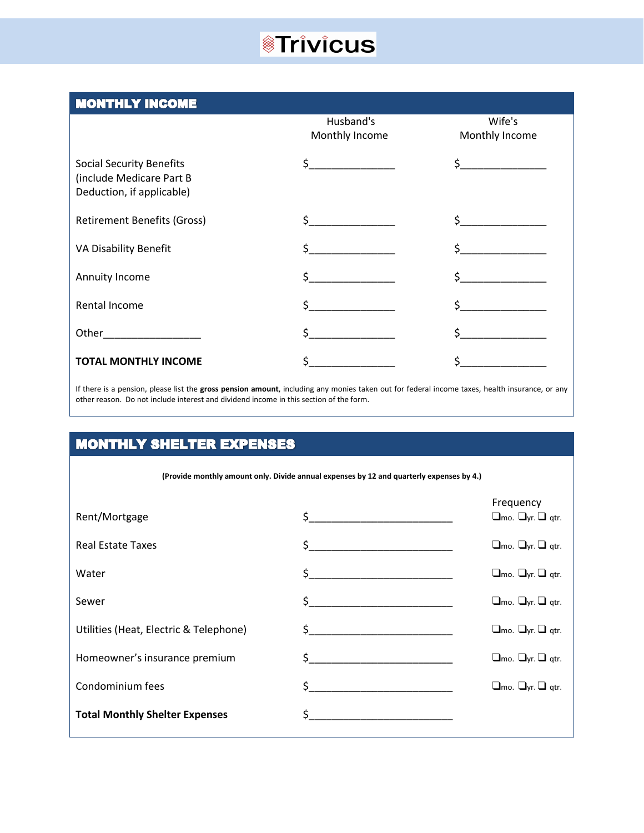#### **MONTHLY INCOME**

|                                                                                          | Husband's<br>Monthly Income | Wife's<br>Monthly Income |
|------------------------------------------------------------------------------------------|-----------------------------|--------------------------|
| <b>Social Security Benefits</b><br>(include Medicare Part B<br>Deduction, if applicable) | $\zeta$                     |                          |
| <b>Retirement Benefits (Gross)</b>                                                       | Ś.                          | $\mathsf{\$}$            |
| VA Disability Benefit                                                                    | <u>and the state</u><br>Ś.  |                          |
| Annuity Income                                                                           |                             |                          |
| Rental Income                                                                            | Ś.                          |                          |
| Other <b>Communication</b>                                                               |                             |                          |
| <b>TOTAL MONTHLY INCOME</b>                                                              |                             |                          |

If there is a pension, please list the **gross pension amount**, including any monies taken out for federal income taxes, health insurance, or any other reason. Do not include interest and dividend income in this section of the form.

### **MONTHLY SHELTER EXPENSES**

**(Provide monthly amount only. Divide annual expenses by 12 and quarterly expenses by 4.)**

| Rent/Mortgage                          |                                                                                                                                                                                                                                                                                                                                                                     | Frequency<br>$\Box$ mo. $\Box$ yr. $\Box$ qtr. |
|----------------------------------------|---------------------------------------------------------------------------------------------------------------------------------------------------------------------------------------------------------------------------------------------------------------------------------------------------------------------------------------------------------------------|------------------------------------------------|
| <b>Real Estate Taxes</b>               | $\begin{picture}(20,10) \put(0,0){\line(1,0){10}} \put(15,0){\line(1,0){10}} \put(15,0){\line(1,0){10}} \put(15,0){\line(1,0){10}} \put(15,0){\line(1,0){10}} \put(15,0){\line(1,0){10}} \put(15,0){\line(1,0){10}} \put(15,0){\line(1,0){10}} \put(15,0){\line(1,0){10}} \put(15,0){\line(1,0){10}} \put(15,0){\line(1,0){10}} \put(15,0){\line(1$                 | $\Box$ mo. $\Box$ yr. $\Box$ qtr.              |
| Water                                  | $\frac{1}{2}$                                                                                                                                                                                                                                                                                                                                                       | $\Box$ mo. $\Box$ yr. $\Box$ qtr.              |
| Sewer                                  | $\mathsf{S} \hspace{0.03in} \underbrace{\hspace{0.03in}}$                                                                                                                                                                                                                                                                                                           | $\square$ mo. $\square$ yr. $\square$ qtr.     |
| Utilities (Heat, Electric & Telephone) | $\begin{picture}(20,10) \put(0,0){\vector(1,0){100}} \put(15,0){\vector(1,0){100}} \put(15,0){\vector(1,0){100}} \put(15,0){\vector(1,0){100}} \put(15,0){\vector(1,0){100}} \put(15,0){\vector(1,0){100}} \put(15,0){\vector(1,0){100}} \put(15,0){\vector(1,0){100}} \put(15,0){\vector(1,0){100}} \put(15,0){\vector(1,0){100}} \put(15,0){\vector(1,0){100}} \$ | $\Box$ mo. $\Box$ yr. $\Box$ qtr.              |
| Homeowner's insurance premium          | $\sharp$                                                                                                                                                                                                                                                                                                                                                            | $\Box$ mo. $\Box$ yr. $\Box$ qtr.              |
| Condominium fees                       | $\begin{picture}(20,10) \put(0,0){\vector(1,0){100}} \put(15,0){\vector(1,0){100}} \put(15,0){\vector(1,0){100}} \put(15,0){\vector(1,0){100}} \put(15,0){\vector(1,0){100}} \put(15,0){\vector(1,0){100}} \put(15,0){\vector(1,0){100}} \put(15,0){\vector(1,0){100}} \put(15,0){\vector(1,0){100}} \put(15,0){\vector(1,0){100}} \put(15,0){\vector(1,0){100}} \$ | $\square$ mo. $\square$ yr. $\square$ gtr.     |
| <b>Total Monthly Shelter Expenses</b>  | $\sharp$                                                                                                                                                                                                                                                                                                                                                            |                                                |
|                                        |                                                                                                                                                                                                                                                                                                                                                                     |                                                |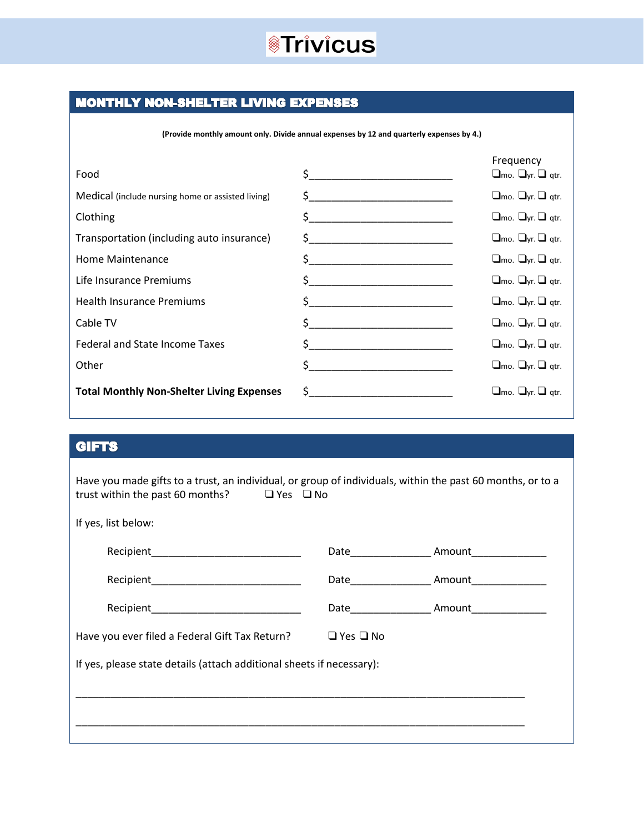

#### **MONTHLY NON-SHELTER LIVING EXPENSES**

**(Provide monthly amount only. Divide annual expenses by 12 and quarterly expenses by 4.)**

| Food                                              |                                                                                                                                                                                                                                                                                                                                                     | Frequency<br>$\Box$ mo. $\Box$ yr. $\Box$ qtr. |
|---------------------------------------------------|-----------------------------------------------------------------------------------------------------------------------------------------------------------------------------------------------------------------------------------------------------------------------------------------------------------------------------------------------------|------------------------------------------------|
| Medical (include nursing home or assisted living) | $\begin{picture}(20,10) \put(0,0){\line(1,0){10}} \put(15,0){\line(1,0){10}} \put(15,0){\line(1,0){10}} \put(15,0){\line(1,0){10}} \put(15,0){\line(1,0){10}} \put(15,0){\line(1,0){10}} \put(15,0){\line(1,0){10}} \put(15,0){\line(1,0){10}} \put(15,0){\line(1,0){10}} \put(15,0){\line(1,0){10}} \put(15,0){\line(1,0){10}} \put(15,0){\line(1$ | $\Box$ mo. $\Box$ yr. $\Box$ qtr.              |
| Clothing                                          | $\begin{picture}(20,10) \put(0,0){\line(1,0){10}} \put(15,0){\line(1,0){10}} \put(15,0){\line(1,0){10}} \put(15,0){\line(1,0){10}} \put(15,0){\line(1,0){10}} \put(15,0){\line(1,0){10}} \put(15,0){\line(1,0){10}} \put(15,0){\line(1,0){10}} \put(15,0){\line(1,0){10}} \put(15,0){\line(1,0){10}} \put(15,0){\line(1,0){10}} \put(15,0){\line(1$ | $\Box$ mo. $\Box$ yr. $\Box$ qtr.              |
| Transportation (including auto insurance)         |                                                                                                                                                                                                                                                                                                                                                     | $\square$ mo. $\square$ yr. $\square$ qtr.     |
| Home Maintenance                                  |                                                                                                                                                                                                                                                                                                                                                     | $\square$ mo. $\square$ yr. $\square$ qtr.     |
| Life Insurance Premiums                           | $\zeta$                                                                                                                                                                                                                                                                                                                                             | $\Box$ mo. $\Box$ yr. $\Box$ qtr.              |
| <b>Health Insurance Premiums</b>                  |                                                                                                                                                                                                                                                                                                                                                     | $\Box$ mo. $\Box$ yr. $\Box$ qtr.              |
| Cable TV                                          | $\begin{array}{c} \texttt{S} \end{array}$                                                                                                                                                                                                                                                                                                           | $\square$ mo. $\square$ yr. $\square$ qtr.     |
| Federal and State Income Taxes                    | $\zeta$                                                                                                                                                                                                                                                                                                                                             | $\square$ mo. $\square$ yr. $\square$ qtr.     |
| Other                                             | $\mathsf{\$}$                                                                                                                                                                                                                                                                                                                                       | $\Box$ mo. $\Box$ yr. $\Box$ qtr.              |
| <b>Total Monthly Non-Shelter Living Expenses</b>  | $\zeta$ and $\zeta$                                                                                                                                                                                                                                                                                                                                 | $\Box$ mo. $\Box$ yr. $\Box$ gtr.              |

#### **GIFTS**

| Have you made gifts to a trust, an individual, or group of individuals, within the past 60 months, or to a<br>trust within the past 60 months? $\Box$ Yes $\Box$ No |                      |                                                        |
|---------------------------------------------------------------------------------------------------------------------------------------------------------------------|----------------------|--------------------------------------------------------|
| If yes, list below:                                                                                                                                                 |                      |                                                        |
|                                                                                                                                                                     |                      | Date________________________ Amount___________________ |
|                                                                                                                                                                     |                      | Date Amount                                            |
|                                                                                                                                                                     |                      |                                                        |
| Have you ever filed a Federal Gift Tax Return?                                                                                                                      | $\Box$ Yes $\Box$ No |                                                        |
| If yes, please state details (attach additional sheets if necessary):                                                                                               |                      |                                                        |
|                                                                                                                                                                     |                      |                                                        |
|                                                                                                                                                                     |                      |                                                        |
|                                                                                                                                                                     |                      |                                                        |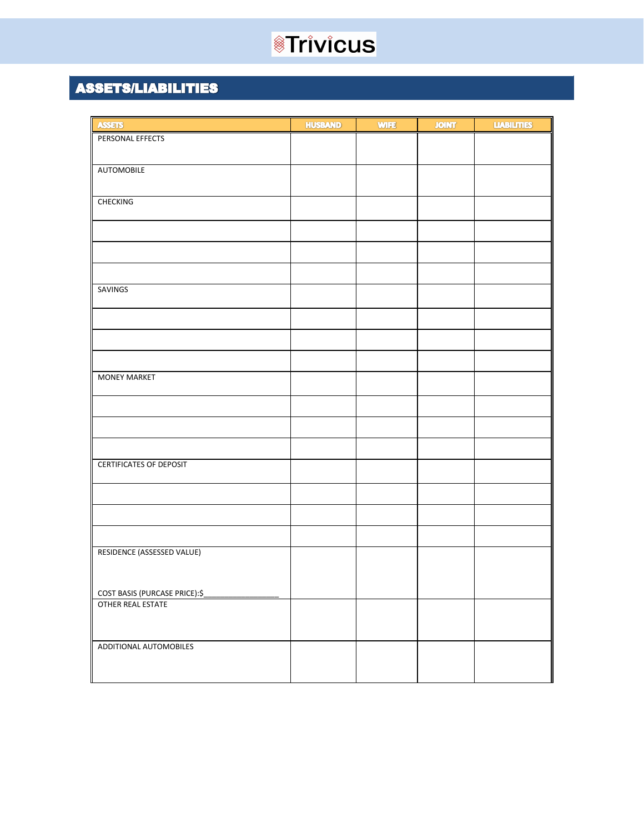### **ASSETS/LIABILITIES**

| <b>ASSETS</b>                  | <b>HUSBAND</b> | <b>WIFE</b> | <b>JOINT</b> | <b>LIABILITIES</b> |
|--------------------------------|----------------|-------------|--------------|--------------------|
| PERSONAL EFFECTS               |                |             |              |                    |
|                                |                |             |              |                    |
| <b>AUTOMOBILE</b>              |                |             |              |                    |
|                                |                |             |              |                    |
| <b>CHECKING</b>                |                |             |              |                    |
|                                |                |             |              |                    |
|                                |                |             |              |                    |
|                                |                |             |              |                    |
|                                |                |             |              |                    |
|                                |                |             |              |                    |
| SAVINGS                        |                |             |              |                    |
|                                |                |             |              |                    |
|                                |                |             |              |                    |
|                                |                |             |              |                    |
|                                |                |             |              |                    |
|                                |                |             |              |                    |
| <b>MONEY MARKET</b>            |                |             |              |                    |
|                                |                |             |              |                    |
|                                |                |             |              |                    |
|                                |                |             |              |                    |
|                                |                |             |              |                    |
|                                |                |             |              |                    |
| <b>CERTIFICATES OF DEPOSIT</b> |                |             |              |                    |
|                                |                |             |              |                    |
|                                |                |             |              |                    |
|                                |                |             |              |                    |
|                                |                |             |              |                    |
|                                |                |             |              |                    |
| RESIDENCE (ASSESSED VALUE)     |                |             |              |                    |
|                                |                |             |              |                    |
| COST BASIS (PURCASE PRICE):\$  |                |             |              |                    |
| <b>OTHER REAL ESTATE</b>       |                |             |              |                    |
|                                |                |             |              |                    |
|                                |                |             |              |                    |
| ADDITIONAL AUTOMOBILES         |                |             |              |                    |
|                                |                |             |              |                    |
|                                |                |             |              |                    |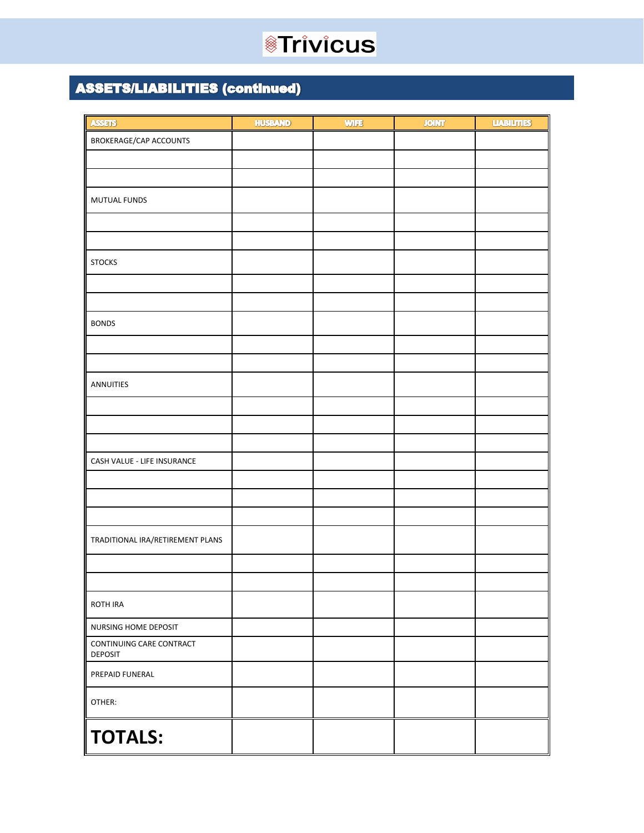### **ASSETS/LIABILITIES (continued)**

| <b>ASSETS</b>                              | <b>HUSBAND</b> | <b>WIFE</b> | <b>JOINT</b> | <b>LIABILITIES</b> |
|--------------------------------------------|----------------|-------------|--------------|--------------------|
| BROKERAGE/CAP ACCOUNTS                     |                |             |              |                    |
|                                            |                |             |              |                    |
|                                            |                |             |              |                    |
| MUTUAL FUNDS                               |                |             |              |                    |
|                                            |                |             |              |                    |
|                                            |                |             |              |                    |
|                                            |                |             |              |                    |
| <b>STOCKS</b>                              |                |             |              |                    |
|                                            |                |             |              |                    |
|                                            |                |             |              |                    |
| <b>BONDS</b>                               |                |             |              |                    |
|                                            |                |             |              |                    |
|                                            |                |             |              |                    |
| ANNUITIES                                  |                |             |              |                    |
|                                            |                |             |              |                    |
|                                            |                |             |              |                    |
|                                            |                |             |              |                    |
| CASH VALUE - LIFE INSURANCE                |                |             |              |                    |
|                                            |                |             |              |                    |
|                                            |                |             |              |                    |
|                                            |                |             |              |                    |
| TRADITIONAL IRA/RETIREMENT PLANS           |                |             |              |                    |
|                                            |                |             |              |                    |
|                                            |                |             |              |                    |
|                                            |                |             |              |                    |
| ROTH IRA                                   |                |             |              |                    |
| NURSING HOME DEPOSIT                       |                |             |              |                    |
| CONTINUING CARE CONTRACT<br><b>DEPOSIT</b> |                |             |              |                    |
| PREPAID FUNERAL                            |                |             |              |                    |
| OTHER:                                     |                |             |              |                    |
| <b>TOTALS:</b>                             |                |             |              |                    |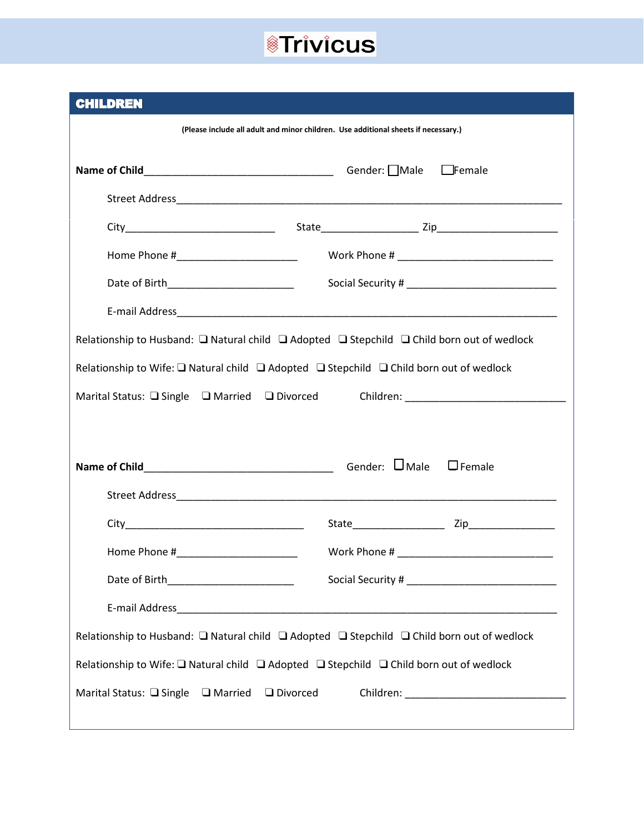|  | <b>CHILDREN</b> |
|--|-----------------|

| (Please include all adult and minor children. Use additional sheets if necessary.)                             |               |  |  |
|----------------------------------------------------------------------------------------------------------------|---------------|--|--|
|                                                                                                                | $\Box$ Female |  |  |
|                                                                                                                |               |  |  |
|                                                                                                                |               |  |  |
| Home Phone #_______________________                                                                            |               |  |  |
| Date of Birth_________________________                                                                         |               |  |  |
|                                                                                                                |               |  |  |
| Relationship to Husband: $\Box$ Natural child $\Box$ Adopted $\Box$ Stepchild $\Box$ Child born out of wedlock |               |  |  |
| Relationship to Wife: □ Natural child □ Adopted □ Stepchild □ Child born out of wedlock                        |               |  |  |
|                                                                                                                |               |  |  |
|                                                                                                                |               |  |  |
|                                                                                                                |               |  |  |
|                                                                                                                |               |  |  |
|                                                                                                                |               |  |  |
|                                                                                                                |               |  |  |
|                                                                                                                |               |  |  |
|                                                                                                                |               |  |  |
| Relationship to Husband: □ Natural child □ Adopted □ Stepchild □ Child born out of wedlock                     |               |  |  |
| Relationship to Wife: □ Natural child □ Adopted □ Stepchild □ Child born out of wedlock                        |               |  |  |
| Marital Status: □ Single □ Married □ Divorced                                                                  |               |  |  |
|                                                                                                                |               |  |  |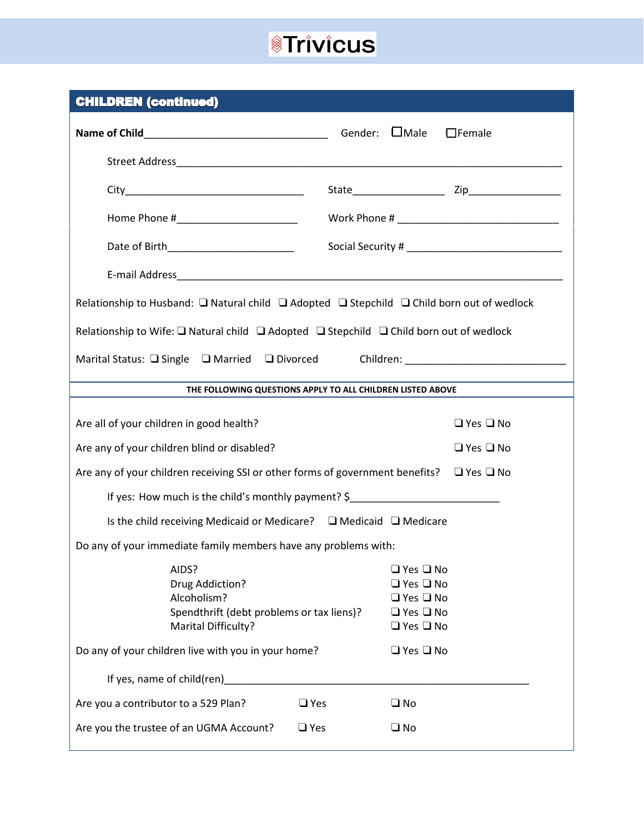| <b>CHILDREN (continued)</b>                                                                                                |                                                                                                                      |  |  |  |  |  |  |
|----------------------------------------------------------------------------------------------------------------------------|----------------------------------------------------------------------------------------------------------------------|--|--|--|--|--|--|
|                                                                                                                            | $\Box$ Female                                                                                                        |  |  |  |  |  |  |
|                                                                                                                            |                                                                                                                      |  |  |  |  |  |  |
|                                                                                                                            |                                                                                                                      |  |  |  |  |  |  |
| Home Phone #_________________________                                                                                      |                                                                                                                      |  |  |  |  |  |  |
|                                                                                                                            |                                                                                                                      |  |  |  |  |  |  |
|                                                                                                                            |                                                                                                                      |  |  |  |  |  |  |
| Relationship to Husband: $\square$ Natural child $\square$ Adopted $\square$ Stepchild $\square$ Child born out of wedlock |                                                                                                                      |  |  |  |  |  |  |
| Relationship to Wife: $\square$ Natural child $\square$ Adopted $\square$ Stepchild $\square$ Child born out of wedlock    |                                                                                                                      |  |  |  |  |  |  |
| Marital Status: □ Single □ Married □ Divorced                                                                              |                                                                                                                      |  |  |  |  |  |  |
|                                                                                                                            | THE FOLLOWING QUESTIONS APPLY TO ALL CHILDREN LISTED ABOVE                                                           |  |  |  |  |  |  |
| Are all of your children in good health?                                                                                   | $\Box$ Yes $\Box$ No                                                                                                 |  |  |  |  |  |  |
|                                                                                                                            |                                                                                                                      |  |  |  |  |  |  |
| Are any of your children blind or disabled?                                                                                | $\Box$ Yes $\Box$ No                                                                                                 |  |  |  |  |  |  |
| Are any of your children receiving SSI or other forms of government benefits? $\Box$ Yes $\Box$ No                         |                                                                                                                      |  |  |  |  |  |  |
| If yes: How much is the child's monthly payment? \$                                                                        |                                                                                                                      |  |  |  |  |  |  |
| Is the child receiving Medicaid or Medicare? $\Box$ Medicaid $\Box$ Medicare                                               |                                                                                                                      |  |  |  |  |  |  |
| Do any of your immediate family members have any problems with:                                                            |                                                                                                                      |  |  |  |  |  |  |
| AIDS?<br>Drug Addiction?<br>Alcoholism?<br>Spendthrift (debt problems or tax liens)?<br>Marital Difficulty?                | $\Box$ Yes $\Box$ No<br>$\Box$ Yes $\Box$ No<br>$\Box$ Yes $\Box$ No<br>$\Box$ Yes $\Box$ No<br>$\Box$ Yes $\Box$ No |  |  |  |  |  |  |
| Do any of your children live with you in your home?                                                                        | $\Box$ Yes $\Box$ No                                                                                                 |  |  |  |  |  |  |
| If yes, name of child(ren)                                                                                                 |                                                                                                                      |  |  |  |  |  |  |
| Are you a contributor to a 529 Plan?<br>$\Box$ Yes                                                                         | $\square$ No                                                                                                         |  |  |  |  |  |  |
| Are you the trustee of an UGMA Account?<br>$\Box$ Yes                                                                      | $\square$ No                                                                                                         |  |  |  |  |  |  |